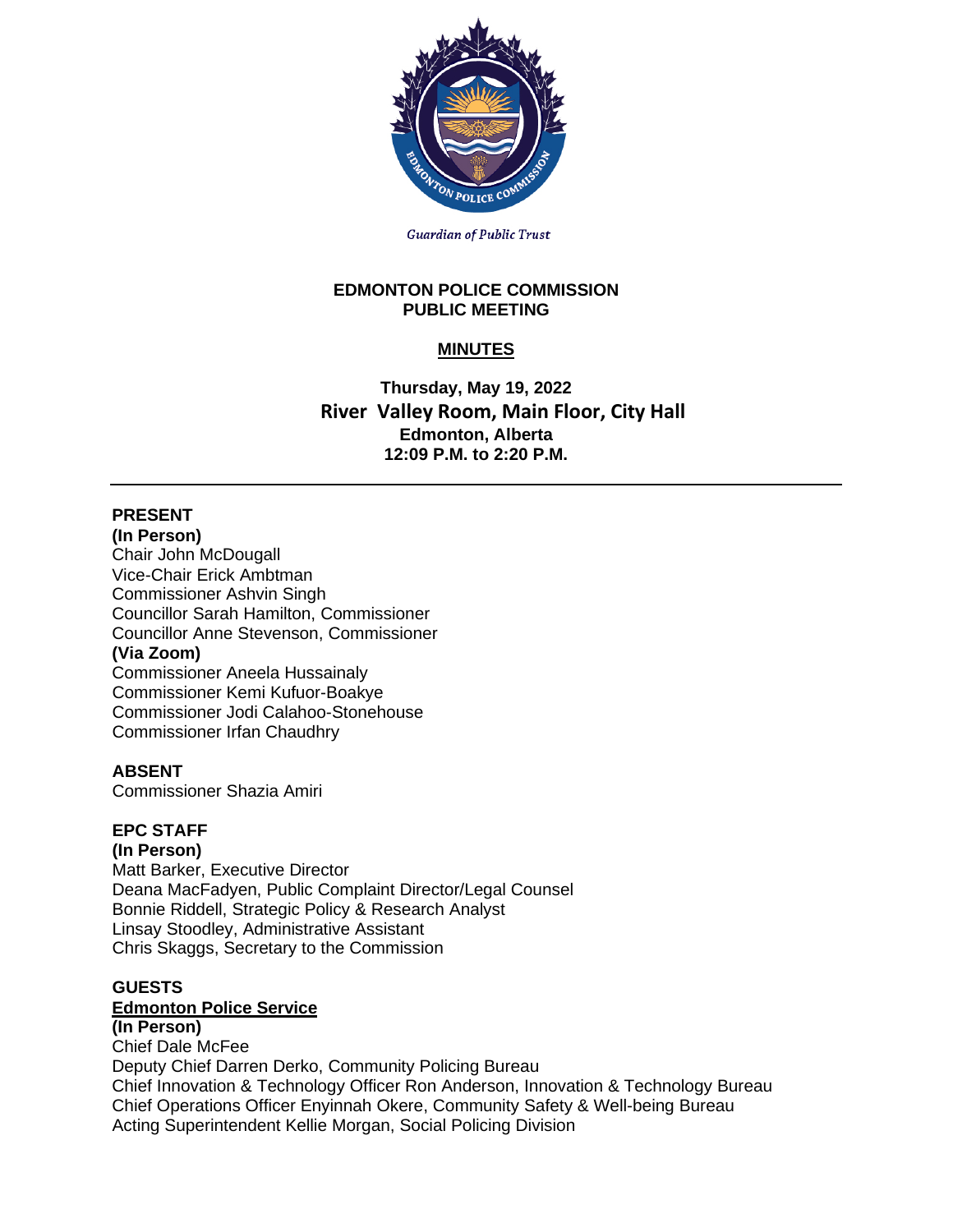

**Guardian of Public Trust** 

### **EDMONTON POLICE COMMISSION PUBLIC MEETING**

# **MINUTES**

**Thursday, May 19, 2022 River Valley Room, Main Floor, City Hall Edmonton, Alberta 12:09 P.M. to 2:20 P.M.**

# **PRESENT**

**(In Person)** Chair John McDougall Vice-Chair Erick Ambtman Commissioner Ashvin Singh Councillor Sarah Hamilton, Commissioner Councillor Anne Stevenson, Commissioner

## **(Via Zoom)**

Commissioner Aneela Hussainaly Commissioner Kemi Kufuor-Boakye Commissioner Jodi Calahoo-Stonehouse Commissioner Irfan Chaudhry

## **ABSENT**

Commissioner Shazia Amiri

## **EPC STAFF**

**(In Person)** Matt Barker, Executive Director Deana MacFadyen, Public Complaint Director/Legal Counsel Bonnie Riddell, Strategic Policy & Research Analyst Linsay Stoodley, Administrative Assistant Chris Skaggs, Secretary to the Commission

#### **GUESTS**

### **Edmonton Police Service**

**(In Person)**

Chief Dale McFee Deputy Chief Darren Derko, Community Policing Bureau Chief Innovation & Technology Officer Ron Anderson, Innovation & Technology Bureau Chief Operations Officer Enyinnah Okere, Community Safety & Well-being Bureau Acting Superintendent Kellie Morgan, Social Policing Division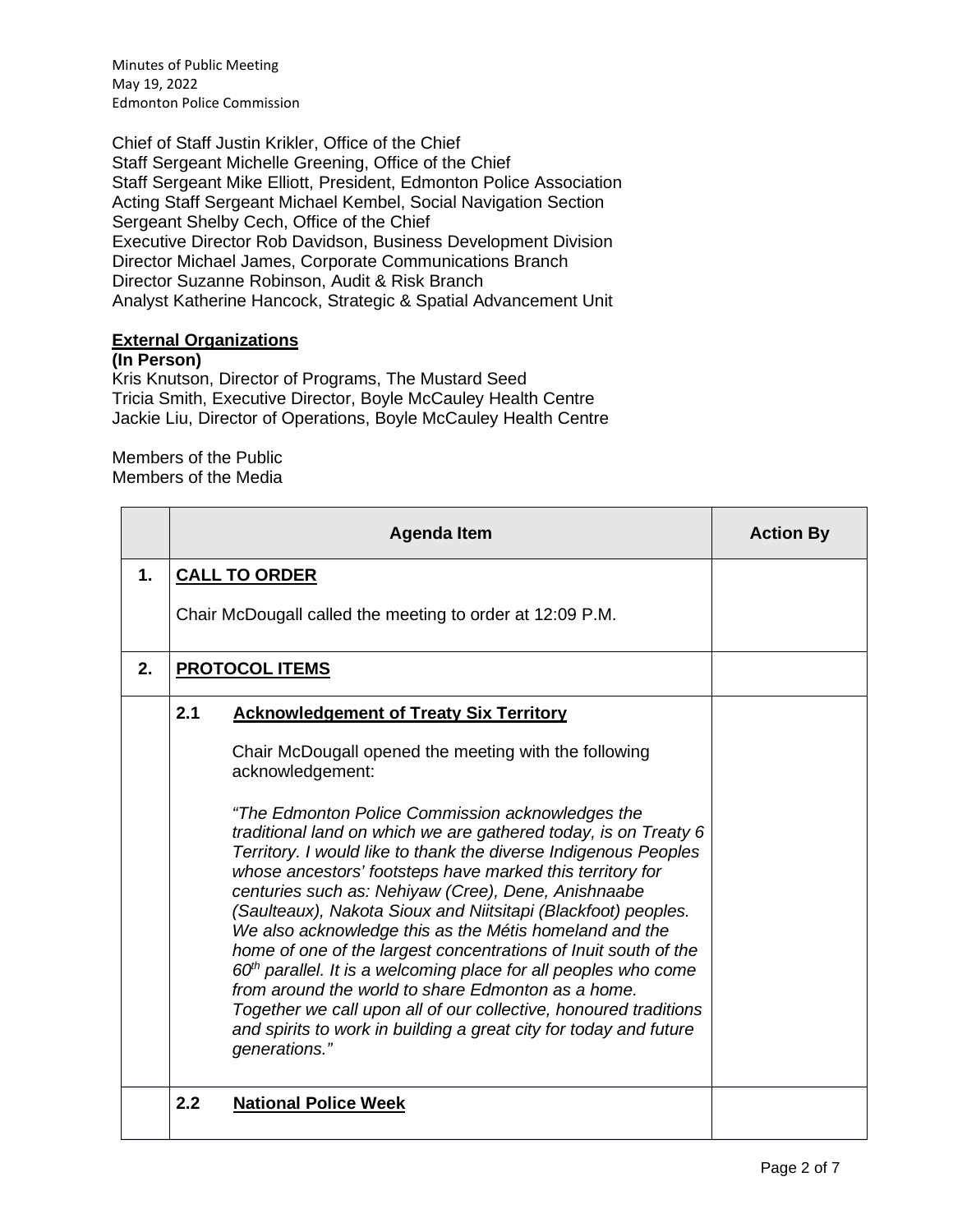Minutes of Public Meeting May 19, 2022 Edmonton Police Commission

Chief of Staff Justin Krikler, Office of the Chief Staff Sergeant Michelle Greening, Office of the Chief Staff Sergeant Mike Elliott, President, Edmonton Police Association Acting Staff Sergeant Michael Kembel, Social Navigation Section Sergeant Shelby Cech, Office of the Chief Executive Director Rob Davidson, Business Development Division Director Michael James, Corporate Communications Branch Director Suzanne Robinson, Audit & Risk Branch Analyst Katherine Hancock, Strategic & Spatial Advancement Unit

### **External Organizations**

### **(In Person)**

Kris Knutson, Director of Programs, The Mustard Seed Tricia Smith, Executive Director, Boyle McCauley Health Centre Jackie Liu, Director of Operations, Boyle McCauley Health Centre

#### Members of the Public Members of the Media

|    |     | <b>Agenda Item</b>                                                                                                                                                                                                                                                                                                                                                                                                                                                                                                                                                                                                                                                                                                                                                                                                                                                                                                           | <b>Action By</b> |
|----|-----|------------------------------------------------------------------------------------------------------------------------------------------------------------------------------------------------------------------------------------------------------------------------------------------------------------------------------------------------------------------------------------------------------------------------------------------------------------------------------------------------------------------------------------------------------------------------------------------------------------------------------------------------------------------------------------------------------------------------------------------------------------------------------------------------------------------------------------------------------------------------------------------------------------------------------|------------------|
| 1. |     | <b>CALL TO ORDER</b>                                                                                                                                                                                                                                                                                                                                                                                                                                                                                                                                                                                                                                                                                                                                                                                                                                                                                                         |                  |
|    |     | Chair McDougall called the meeting to order at 12:09 P.M.                                                                                                                                                                                                                                                                                                                                                                                                                                                                                                                                                                                                                                                                                                                                                                                                                                                                    |                  |
| 2. |     | <b>PROTOCOL ITEMS</b>                                                                                                                                                                                                                                                                                                                                                                                                                                                                                                                                                                                                                                                                                                                                                                                                                                                                                                        |                  |
|    | 2.1 | <b>Acknowledgement of Treaty Six Territory</b><br>Chair McDougall opened the meeting with the following<br>acknowledgement:<br>"The Edmonton Police Commission acknowledges the<br>traditional land on which we are gathered today, is on Treaty 6<br>Territory. I would like to thank the diverse Indigenous Peoples<br>whose ancestors' footsteps have marked this territory for<br>centuries such as: Nehiyaw (Cree), Dene, Anishnaabe<br>(Saulteaux), Nakota Sioux and Niitsitapi (Blackfoot) peoples.<br>We also acknowledge this as the Métis homeland and the<br>home of one of the largest concentrations of Inuit south of the<br>$60th$ parallel. It is a welcoming place for all peoples who come<br>from around the world to share Edmonton as a home.<br>Together we call upon all of our collective, honoured traditions<br>and spirits to work in building a great city for today and future<br>generations." |                  |
|    | 2.2 | <b>National Police Week</b>                                                                                                                                                                                                                                                                                                                                                                                                                                                                                                                                                                                                                                                                                                                                                                                                                                                                                                  |                  |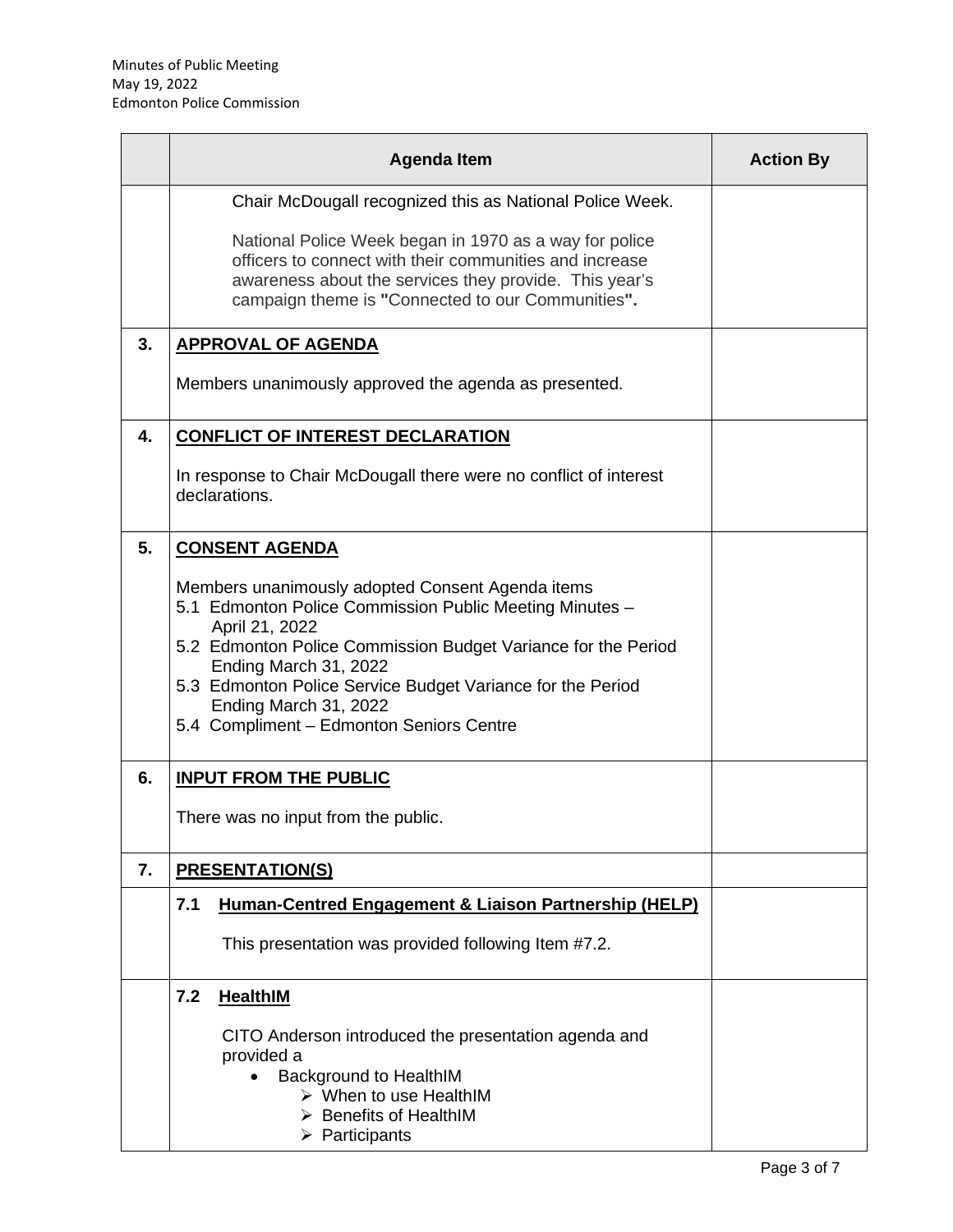|    | <b>Agenda Item</b>                                                                                                                                                                                                                                                                                                                                                                  | <b>Action By</b> |
|----|-------------------------------------------------------------------------------------------------------------------------------------------------------------------------------------------------------------------------------------------------------------------------------------------------------------------------------------------------------------------------------------|------------------|
|    | Chair McDougall recognized this as National Police Week.<br>National Police Week began in 1970 as a way for police<br>officers to connect with their communities and increase<br>awareness about the services they provide. This year's<br>campaign theme is "Connected to our Communities".                                                                                        |                  |
| 3. | <b>APPROVAL OF AGENDA</b><br>Members unanimously approved the agenda as presented.                                                                                                                                                                                                                                                                                                  |                  |
| 4. | <b>CONFLICT OF INTEREST DECLARATION</b><br>In response to Chair McDougall there were no conflict of interest<br>declarations.                                                                                                                                                                                                                                                       |                  |
| 5. | <b>CONSENT AGENDA</b><br>Members unanimously adopted Consent Agenda items<br>5.1 Edmonton Police Commission Public Meeting Minutes -<br>April 21, 2022<br>5.2 Edmonton Police Commission Budget Variance for the Period<br>Ending March 31, 2022<br>5.3 Edmonton Police Service Budget Variance for the Period<br>Ending March 31, 2022<br>5.4 Compliment - Edmonton Seniors Centre |                  |
| 6. | <b>INPUT FROM THE PUBLIC</b><br>There was no input from the public.                                                                                                                                                                                                                                                                                                                 |                  |
| 7. | <b>PRESENTATION(S)</b>                                                                                                                                                                                                                                                                                                                                                              |                  |
|    | 7.1<br>Human-Centred Engagement & Liaison Partnership (HELP)<br>This presentation was provided following Item #7.2.                                                                                                                                                                                                                                                                 |                  |
|    | 7.2<br><b>HealthIM</b><br>CITO Anderson introduced the presentation agenda and<br>provided a<br>Background to HealthIM<br>$\triangleright$ When to use HealthIM<br>$\triangleright$ Benefits of HealthIM<br>$\triangleright$ Participants                                                                                                                                           |                  |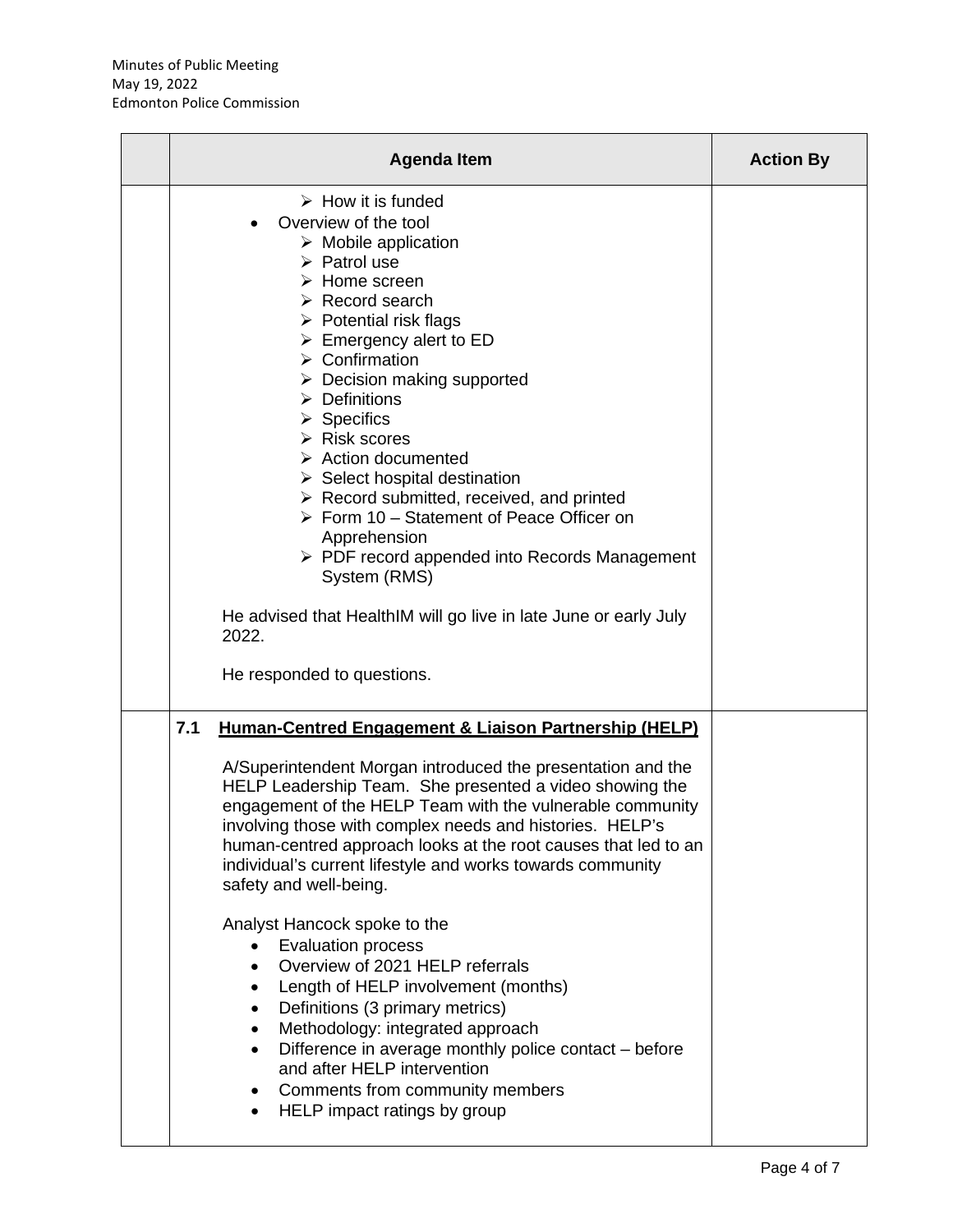| <b>Agenda Item</b>                                                                                                                                                                                                                                                                                                                                                                                                                                                                                                                                                                                                                                                                                                                                                                                                                                                               | <b>Action By</b> |
|----------------------------------------------------------------------------------------------------------------------------------------------------------------------------------------------------------------------------------------------------------------------------------------------------------------------------------------------------------------------------------------------------------------------------------------------------------------------------------------------------------------------------------------------------------------------------------------------------------------------------------------------------------------------------------------------------------------------------------------------------------------------------------------------------------------------------------------------------------------------------------|------------------|
| $\triangleright$ How it is funded<br>Overview of the tool<br>$\triangleright$ Mobile application<br>$\triangleright$ Patrol use<br>$\triangleright$ Home screen<br>$\triangleright$ Record search<br>$\triangleright$ Potential risk flags<br>$\triangleright$ Emergency alert to ED<br>$\triangleright$ Confirmation<br>$\triangleright$ Decision making supported<br>$\triangleright$ Definitions<br>$\triangleright$ Specifics<br>$\triangleright$ Risk scores<br>$\triangleright$ Action documented<br>$\triangleright$ Select hospital destination<br>$\triangleright$ Record submitted, received, and printed<br>$\triangleright$ Form 10 – Statement of Peace Officer on<br>Apprehension<br>$\triangleright$ PDF record appended into Records Management<br>System (RMS)<br>He advised that HealthIM will go live in late June or early July<br>2022.                     |                  |
| He responded to questions.<br>7.1<br>Human-Centred Engagement & Liaison Partnership (HELP)<br>A/Superintendent Morgan introduced the presentation and the<br>HELP Leadership Team. She presented a video showing the<br>engagement of the HELP Team with the vulnerable community<br>involving those with complex needs and histories. HELP's<br>human-centred approach looks at the root causes that led to an<br>individual's current lifestyle and works towards community<br>safety and well-being.<br>Analyst Hancock spoke to the<br><b>Evaluation process</b><br>Overview of 2021 HELP referrals<br>Length of HELP involvement (months)<br>Definitions (3 primary metrics)<br>Methodology: integrated approach<br>Difference in average monthly police contact – before<br>and after HELP intervention<br>Comments from community members<br>HELP impact ratings by group |                  |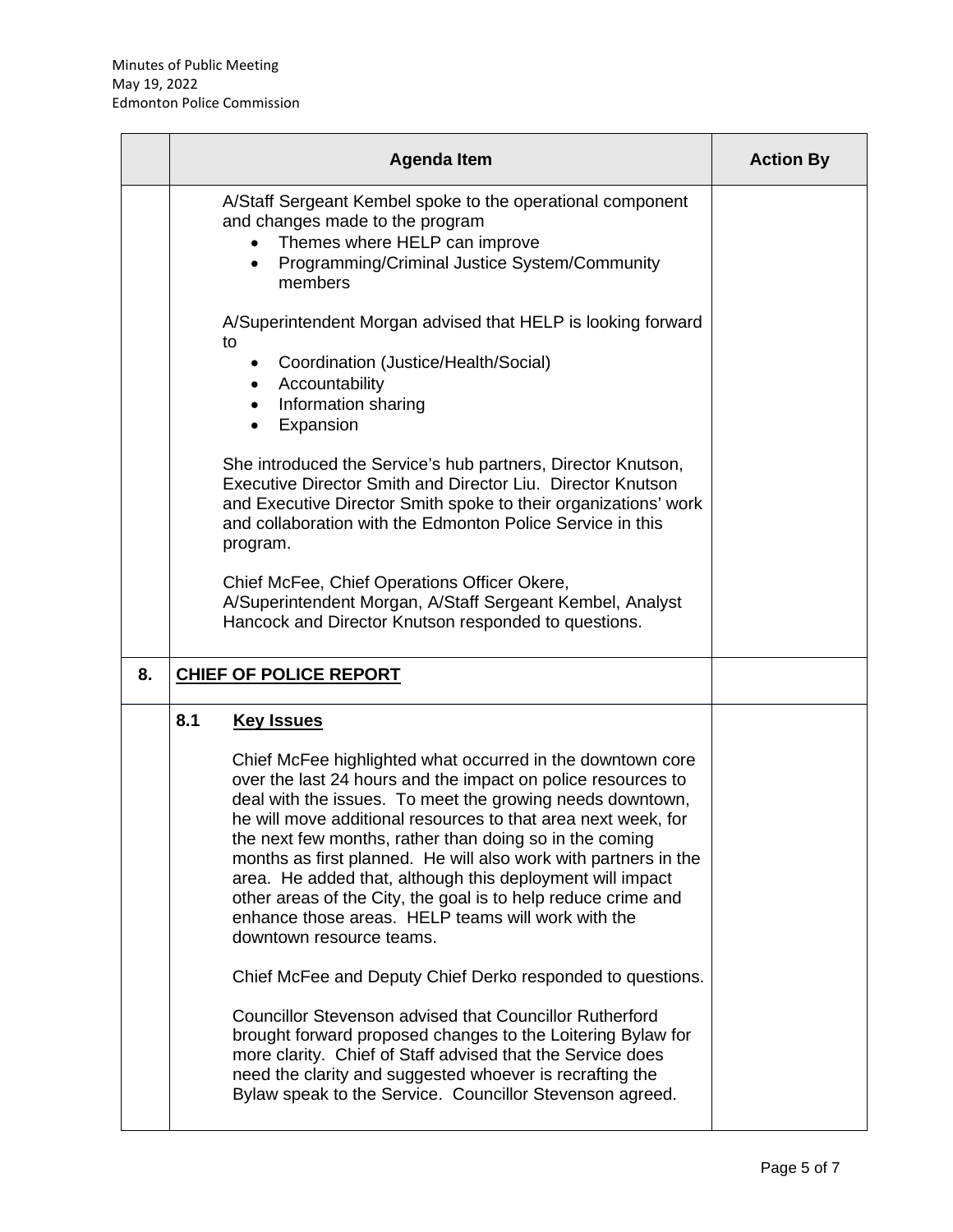|    | <b>Agenda Item</b>                                                                                                                                                                                                                                                                                                                                                                                                                                                                                                                                                                                                                 | <b>Action By</b> |
|----|------------------------------------------------------------------------------------------------------------------------------------------------------------------------------------------------------------------------------------------------------------------------------------------------------------------------------------------------------------------------------------------------------------------------------------------------------------------------------------------------------------------------------------------------------------------------------------------------------------------------------------|------------------|
|    | A/Staff Sergeant Kembel spoke to the operational component<br>and changes made to the program<br>Themes where HELP can improve<br>Programming/Criminal Justice System/Community<br>$\bullet$<br>members                                                                                                                                                                                                                                                                                                                                                                                                                            |                  |
|    | A/Superintendent Morgan advised that HELP is looking forward<br>to<br>Coordination (Justice/Health/Social)<br>$\bullet$<br>Accountability<br>$\bullet$<br>Information sharing<br>$\bullet$<br>Expansion                                                                                                                                                                                                                                                                                                                                                                                                                            |                  |
|    | She introduced the Service's hub partners, Director Knutson,<br>Executive Director Smith and Director Liu. Director Knutson<br>and Executive Director Smith spoke to their organizations' work<br>and collaboration with the Edmonton Police Service in this<br>program.                                                                                                                                                                                                                                                                                                                                                           |                  |
|    | Chief McFee, Chief Operations Officer Okere,<br>A/Superintendent Morgan, A/Staff Sergeant Kembel, Analyst<br>Hancock and Director Knutson responded to questions.                                                                                                                                                                                                                                                                                                                                                                                                                                                                  |                  |
| 8. | <b>CHIEF OF POLICE REPORT</b>                                                                                                                                                                                                                                                                                                                                                                                                                                                                                                                                                                                                      |                  |
|    | 8.1<br><b>Key Issues</b><br>Chief McFee highlighted what occurred in the downtown core<br>over the last 24 hours and the impact on police resources to<br>deal with the issues. To meet the growing needs downtown,<br>he will move additional resources to that area next week, for<br>the next few months, rather than doing so in the coming<br>months as first planned. He will also work with partners in the<br>area. He added that, although this deployment will impact<br>other areas of the City, the goal is to help reduce crime and<br>enhance those areas. HELP teams will work with the<br>downtown resource teams. |                  |
|    | Chief McFee and Deputy Chief Derko responded to questions.<br><b>Councillor Stevenson advised that Councillor Rutherford</b><br>brought forward proposed changes to the Loitering Bylaw for<br>more clarity. Chief of Staff advised that the Service does<br>need the clarity and suggested whoever is recrafting the<br>Bylaw speak to the Service. Councillor Stevenson agreed.                                                                                                                                                                                                                                                  |                  |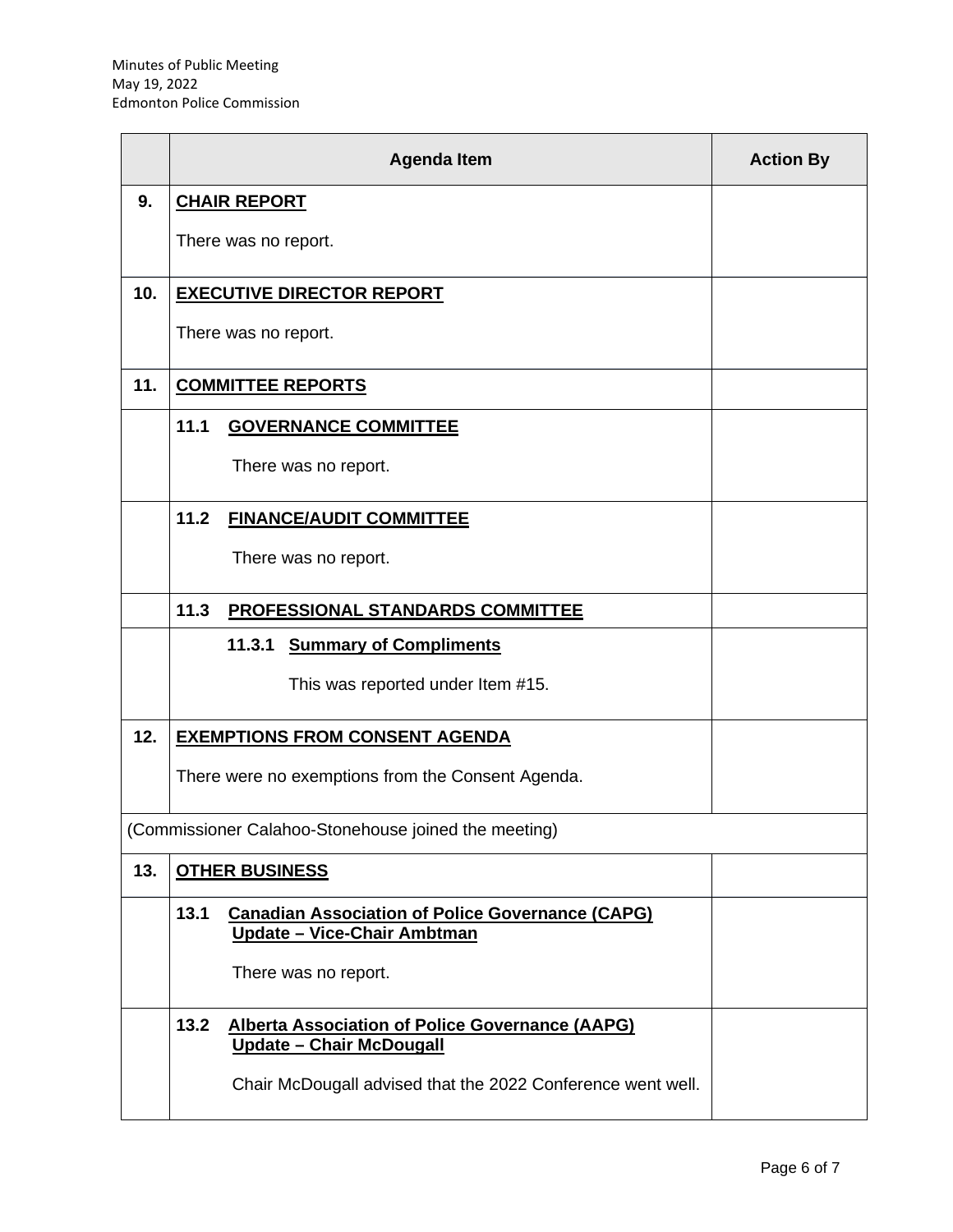|     | <b>Agenda Item</b>                                                                                       | <b>Action By</b> |
|-----|----------------------------------------------------------------------------------------------------------|------------------|
| 9.  | <b>CHAIR REPORT</b>                                                                                      |                  |
|     | There was no report.                                                                                     |                  |
| 10. | <b>EXECUTIVE DIRECTOR REPORT</b>                                                                         |                  |
|     | There was no report.                                                                                     |                  |
| 11. | <b>COMMITTEE REPORTS</b>                                                                                 |                  |
|     | 11.1<br><b>GOVERNANCE COMMITTEE</b>                                                                      |                  |
|     | There was no report.                                                                                     |                  |
|     | 11.2<br><b>FINANCE/AUDIT COMMITTEE</b>                                                                   |                  |
|     | There was no report.                                                                                     |                  |
|     | 11.3<br><b>PROFESSIONAL STANDARDS COMMITTEE</b>                                                          |                  |
|     | 11.3.1 Summary of Compliments                                                                            |                  |
|     | This was reported under Item #15.                                                                        |                  |
| 12. | <b>EXEMPTIONS FROM CONSENT AGENDA</b>                                                                    |                  |
|     | There were no exemptions from the Consent Agenda.                                                        |                  |
|     | (Commissioner Calahoo-Stonehouse joined the meeting)                                                     |                  |
| 13. | <b>OTHER BUSINESS</b>                                                                                    |                  |
|     | 13.1<br><b>Canadian Association of Police Governance (CAPG)</b><br>Update - Vice-Chair Ambtman           |                  |
|     | There was no report.                                                                                     |                  |
|     | 13.2<br><b>Alberta Association of Police Governance (AAPG)</b><br><u><b>Update - Chair McDougall</b></u> |                  |
|     | Chair McDougall advised that the 2022 Conference went well.                                              |                  |